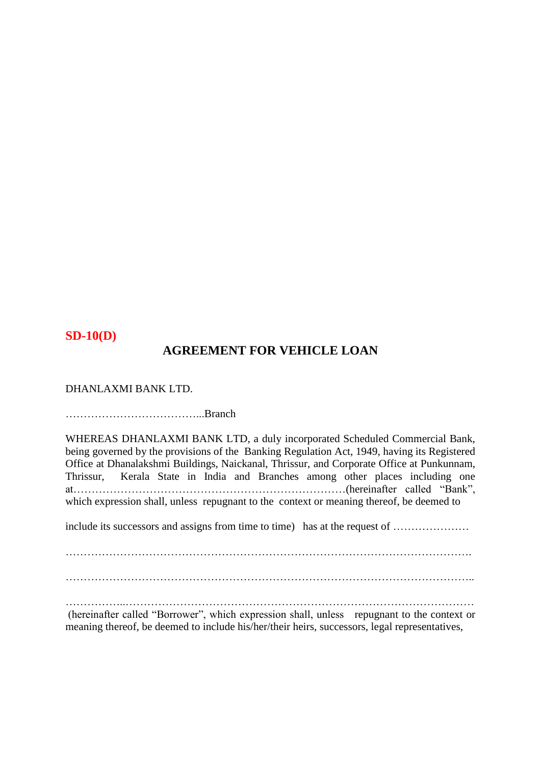#### **SD-10(D)**

## **AGREEMENT FOR VEHICLE LOAN**

DHANLAXMI BANK LTD.

………………………………...Branch

WHEREAS DHANLAXMI BANK LTD, a duly incorporated Scheduled Commercial Bank, being governed by the provisions of the Banking Regulation Act, 1949, having its Registered Office at Dhanalakshmi Buildings, Naickanal, Thrissur, and Corporate Office at Punkunnam, Thrissur, Kerala State in India and Branches among other places including one at…………………………………………………………………(hereinafter called "Bank", which expression shall, unless repugnant to the context or meaning thereof, be deemed to

include its successors and assigns from time to time) has at the request of ........................

…………………………………………………………………………………………………. …………………………………………………………………………………………………..

……………..…………………………………………………………………………………… (hereinafter called "Borrower", which expression shall, unless repugnant to the context or meaning thereof, be deemed to include his/her/their heirs, successors, legal representatives,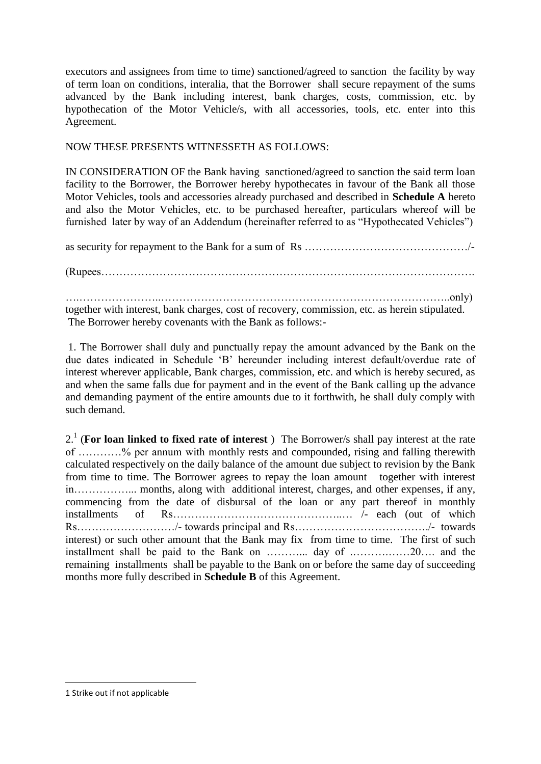executors and assignees from time to time) sanctioned/agreed to sanction the facility by way of term loan on conditions, interalia, that the Borrower shall secure repayment of the sums advanced by the Bank including interest, bank charges, costs, commission, etc. by hypothecation of the Motor Vehicle/s, with all accessories, tools, etc. enter into this Agreement.

#### NOW THESE PRESENTS WITNESSETH AS FOLLOWS:

IN CONSIDERATION OF the Bank having sanctioned/agreed to sanction the said term loan facility to the Borrower, the Borrower hereby hypothecates in favour of the Bank all those Motor Vehicles, tools and accessories already purchased and described in **Schedule A** hereto and also the Motor Vehicles, etc. to be purchased hereafter, particulars whereof will be furnished later by way of an Addendum (hereinafter referred to as "Hypothecated Vehicles")

as security for repayment to the Bank for a sum of Rs ………………………………………/-

(Rupees………………………………………………………………………………………….

….…………………..……………………………………………………………………..only) together with interest, bank charges, cost of recovery, commission, etc. as herein stipulated. The Borrower hereby covenants with the Bank as follows:-

1. The Borrower shall duly and punctually repay the amount advanced by the Bank on the due dates indicated in Schedule 'B' hereunder including interest default/overdue rate of interest wherever applicable, Bank charges, commission, etc. and which is hereby secured, as and when the same falls due for payment and in the event of the Bank calling up the advance and demanding payment of the entire amounts due to it forthwith, he shall duly comply with such demand.

2.1 (**For loan linked to fixed rate of interest** ) The Borrower/s shall pay interest at the rate of …………% per annum with monthly rests and compounded, rising and falling therewith calculated respectively on the daily balance of the amount due subject to revision by the Bank from time to time. The Borrower agrees to repay the loan amount together with interest in……………... months, along with additional interest, charges, and other expenses, if any, commencing from the date of disbursal of the loan or any part thereof in monthly installments of Rs………………………………………..… /- each (out of which Rs………………………/- towards principal and Rs………………………………./- towards interest) or such other amount that the Bank may fix from time to time. The first of such installment shall be paid to the Bank on ………... day of .……….……20…. and the remaining installments shall be payable to the Bank on or before the same day of succeeding months more fully described in **Schedule B** of this Agreement.

1

<sup>1</sup> Strike out if not applicable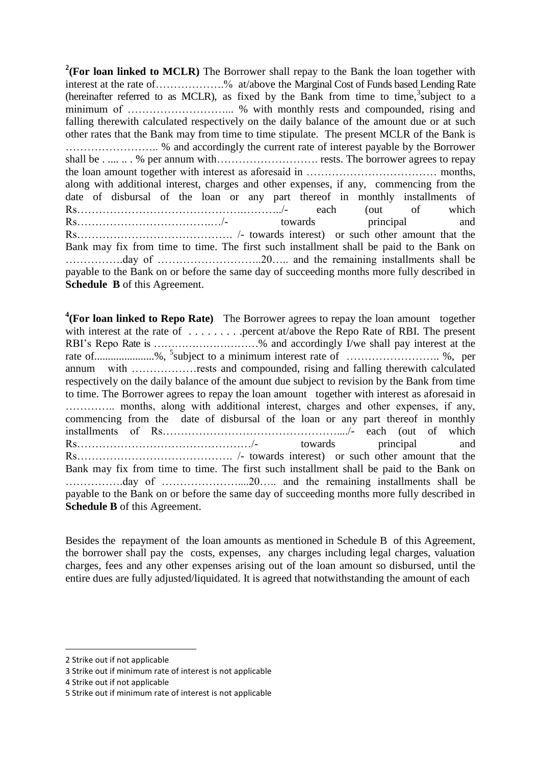<sup>2</sup>(For loan linked to MCLR) The Borrower shall repay to the Bank the loan together with interest at the rate of……………….% at/above the Marginal Cost of Funds based Lending Rate (hereinafter referred to as MCLR), as fixed by the Bank from time to time,<sup>3</sup>subject to a minimum of ………………………... % with monthly rests and compounded, rising and falling therewith calculated respectively on the daily balance of the amount due or at such other rates that the Bank may from time to time stipulate. The present MCLR of the Bank is …………………….. % and accordingly the current rate of interest payable by the Borrower shall be . .... .. . % per annum with………………………. rests. The borrower agrees to repay the loan amount together with interest as aforesaid in ……………………………… months, along with additional interest, charges and other expenses, if any, commencing from the date of disbursal of the loan or any part thereof in monthly installments of Rs……………………………………….………../- each (out of which Rs……………………………….…/- towards principal and Rs……………………………………. /- towards interest) or such other amount that the Bank may fix from time to time. The first such installment shall be paid to the Bank on …………….day of ………………………..20….. and the remaining installments shall be payable to the Bank on or before the same day of succeeding months more fully described in **Schedule B** of this Agreement.

<sup>4</sup>(For loan linked to Repo Rate) The Borrower agrees to repay the loan amount together with interest at the rate of . . . . . . . . .percent at/above the Repo Rate of RBI. The present RBI's Repo Rate is …………………………% and accordingly I/we shall pay interest at the rate of......................%, 5 subject to a minimum interest rate of …………………….. %, per annum with ………………rests and compounded, rising and falling therewith calculated respectively on the daily balance of the amount due subject to revision by the Bank from time to time. The Borrower agrees to repay the loan amount together with interest as aforesaid in ………….. months, along with additional interest, charges and other expenses, if any, commencing from the date of disbursal of the loan or any part thereof in monthly installments of Rs…………………………………………..../- each (out of which Rs…………………………………………………/- towards principal and Rs……………………………………. /- towards interest) or such other amount that the Bank may fix from time to time. The first such installment shall be paid to the Bank on …………….day of …………………....20….. and the remaining installments shall be payable to the Bank on or before the same day of succeeding months more fully described in **Schedule B** of this Agreement.

Besides the repayment of the loan amounts as mentioned in Schedule B of this Agreement, the borrower shall pay the costs, expenses, any charges including legal charges, valuation charges, fees and any other expenses arising out of the loan amount so disbursed, until the entire dues are fully adjusted/liquidated. It is agreed that notwithstanding the amount of each

<u>.</u>

<sup>2</sup> Strike out if not applicable

<sup>3</sup> Strike out if minimum rate of interest is not applicable

<sup>4</sup> Strike out if not applicable

<sup>5</sup> Strike out if minimum rate of interest is not applicable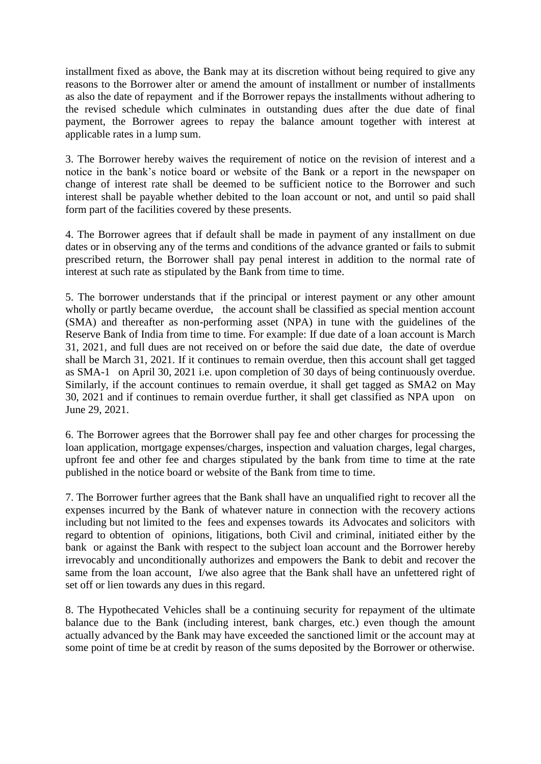installment fixed as above, the Bank may at its discretion without being required to give any reasons to the Borrower alter or amend the amount of installment or number of installments as also the date of repayment and if the Borrower repays the installments without adhering to the revised schedule which culminates in outstanding dues after the due date of final payment, the Borrower agrees to repay the balance amount together with interest at applicable rates in a lump sum.

3. The Borrower hereby waives the requirement of notice on the revision of interest and a notice in the bank's notice board or website of the Bank or a report in the newspaper on change of interest rate shall be deemed to be sufficient notice to the Borrower and such interest shall be payable whether debited to the loan account or not, and until so paid shall form part of the facilities covered by these presents.

4. The Borrower agrees that if default shall be made in payment of any installment on due dates or in observing any of the terms and conditions of the advance granted or fails to submit prescribed return, the Borrower shall pay penal interest in addition to the normal rate of interest at such rate as stipulated by the Bank from time to time.

5. The borrower understands that if the principal or interest payment or any other amount wholly or partly became overdue, the account shall be classified as special mention account (SMA) and thereafter as non-performing asset (NPA) in tune with the guidelines of the Reserve Bank of India from time to time. For example: If due date of a loan account is March 31, 2021, and full dues are not received on or before the said due date, the date of overdue shall be March 31, 2021. If it continues to remain overdue, then this account shall get tagged as SMA-1 on April 30, 2021 i.e. upon completion of 30 days of being continuously overdue. Similarly, if the account continues to remain overdue, it shall get tagged as SMA2 on May 30, 2021 and if continues to remain overdue further, it shall get classified as NPA upon on June 29, 2021.

6. The Borrower agrees that the Borrower shall pay fee and other charges for processing the loan application, mortgage expenses/charges, inspection and valuation charges, legal charges, upfront fee and other fee and charges stipulated by the bank from time to time at the rate published in the notice board or website of the Bank from time to time.

7. The Borrower further agrees that the Bank shall have an unqualified right to recover all the expenses incurred by the Bank of whatever nature in connection with the recovery actions including but not limited to the fees and expenses towards its Advocates and solicitors with regard to obtention of opinions, litigations, both Civil and criminal, initiated either by the bank or against the Bank with respect to the subject loan account and the Borrower hereby irrevocably and unconditionally authorizes and empowers the Bank to debit and recover the same from the loan account, I/we also agree that the Bank shall have an unfettered right of set off or lien towards any dues in this regard.

8. The Hypothecated Vehicles shall be a continuing security for repayment of the ultimate balance due to the Bank (including interest, bank charges, etc.) even though the amount actually advanced by the Bank may have exceeded the sanctioned limit or the account may at some point of time be at credit by reason of the sums deposited by the Borrower or otherwise.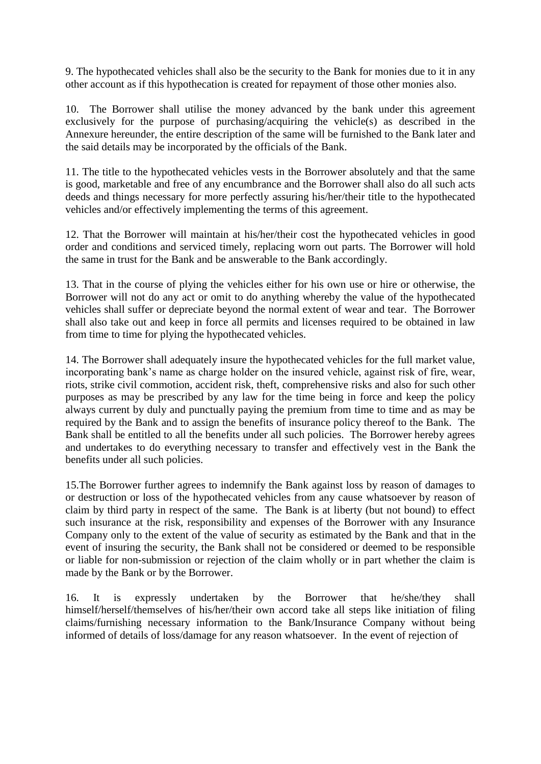9. The hypothecated vehicles shall also be the security to the Bank for monies due to it in any other account as if this hypothecation is created for repayment of those other monies also.

10. The Borrower shall utilise the money advanced by the bank under this agreement exclusively for the purpose of purchasing/acquiring the vehicle(s) as described in the Annexure hereunder, the entire description of the same will be furnished to the Bank later and the said details may be incorporated by the officials of the Bank.

11. The title to the hypothecated vehicles vests in the Borrower absolutely and that the same is good, marketable and free of any encumbrance and the Borrower shall also do all such acts deeds and things necessary for more perfectly assuring his/her/their title to the hypothecated vehicles and/or effectively implementing the terms of this agreement.

12. That the Borrower will maintain at his/her/their cost the hypothecated vehicles in good order and conditions and serviced timely, replacing worn out parts. The Borrower will hold the same in trust for the Bank and be answerable to the Bank accordingly.

13. That in the course of plying the vehicles either for his own use or hire or otherwise, the Borrower will not do any act or omit to do anything whereby the value of the hypothecated vehicles shall suffer or depreciate beyond the normal extent of wear and tear. The Borrower shall also take out and keep in force all permits and licenses required to be obtained in law from time to time for plying the hypothecated vehicles.

14. The Borrower shall adequately insure the hypothecated vehicles for the full market value, incorporating bank's name as charge holder on the insured vehicle, against risk of fire, wear, riots, strike civil commotion, accident risk, theft, comprehensive risks and also for such other purposes as may be prescribed by any law for the time being in force and keep the policy always current by duly and punctually paying the premium from time to time and as may be required by the Bank and to assign the benefits of insurance policy thereof to the Bank. The Bank shall be entitled to all the benefits under all such policies. The Borrower hereby agrees and undertakes to do everything necessary to transfer and effectively vest in the Bank the benefits under all such policies.

15.The Borrower further agrees to indemnify the Bank against loss by reason of damages to or destruction or loss of the hypothecated vehicles from any cause whatsoever by reason of claim by third party in respect of the same. The Bank is at liberty (but not bound) to effect such insurance at the risk, responsibility and expenses of the Borrower with any Insurance Company only to the extent of the value of security as estimated by the Bank and that in the event of insuring the security, the Bank shall not be considered or deemed to be responsible or liable for non-submission or rejection of the claim wholly or in part whether the claim is made by the Bank or by the Borrower.

16. It is expressly undertaken by the Borrower that he/she/they shall himself/herself/themselves of his/her/their own accord take all steps like initiation of filing claims/furnishing necessary information to the Bank/Insurance Company without being informed of details of loss/damage for any reason whatsoever. In the event of rejection of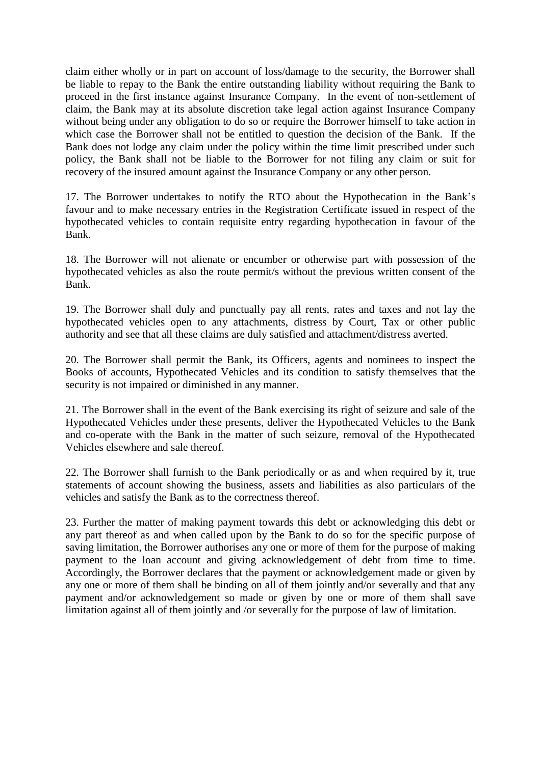claim either wholly or in part on account of loss/damage to the security, the Borrower shall be liable to repay to the Bank the entire outstanding liability without requiring the Bank to proceed in the first instance against Insurance Company. In the event of non-settlement of claim, the Bank may at its absolute discretion take legal action against Insurance Company without being under any obligation to do so or require the Borrower himself to take action in which case the Borrower shall not be entitled to question the decision of the Bank. If the Bank does not lodge any claim under the policy within the time limit prescribed under such policy, the Bank shall not be liable to the Borrower for not filing any claim or suit for recovery of the insured amount against the Insurance Company or any other person.

17. The Borrower undertakes to notify the RTO about the Hypothecation in the Bank's favour and to make necessary entries in the Registration Certificate issued in respect of the hypothecated vehicles to contain requisite entry regarding hypothecation in favour of the Bank.

18. The Borrower will not alienate or encumber or otherwise part with possession of the hypothecated vehicles as also the route permit/s without the previous written consent of the Bank.

19. The Borrower shall duly and punctually pay all rents, rates and taxes and not lay the hypothecated vehicles open to any attachments, distress by Court, Tax or other public authority and see that all these claims are duly satisfied and attachment/distress averted.

20. The Borrower shall permit the Bank, its Officers, agents and nominees to inspect the Books of accounts, Hypothecated Vehicles and its condition to satisfy themselves that the security is not impaired or diminished in any manner.

21. The Borrower shall in the event of the Bank exercising its right of seizure and sale of the Hypothecated Vehicles under these presents, deliver the Hypothecated Vehicles to the Bank and co-operate with the Bank in the matter of such seizure, removal of the Hypothecated Vehicles elsewhere and sale thereof.

22. The Borrower shall furnish to the Bank periodically or as and when required by it, true statements of account showing the business, assets and liabilities as also particulars of the vehicles and satisfy the Bank as to the correctness thereof.

23. Further the matter of making payment towards this debt or acknowledging this debt or any part thereof as and when called upon by the Bank to do so for the specific purpose of saving limitation, the Borrower authorises any one or more of them for the purpose of making payment to the loan account and giving acknowledgement of debt from time to time. Accordingly, the Borrower declares that the payment or acknowledgement made or given by any one or more of them shall be binding on all of them jointly and/or severally and that any payment and/or acknowledgement so made or given by one or more of them shall save limitation against all of them jointly and /or severally for the purpose of law of limitation.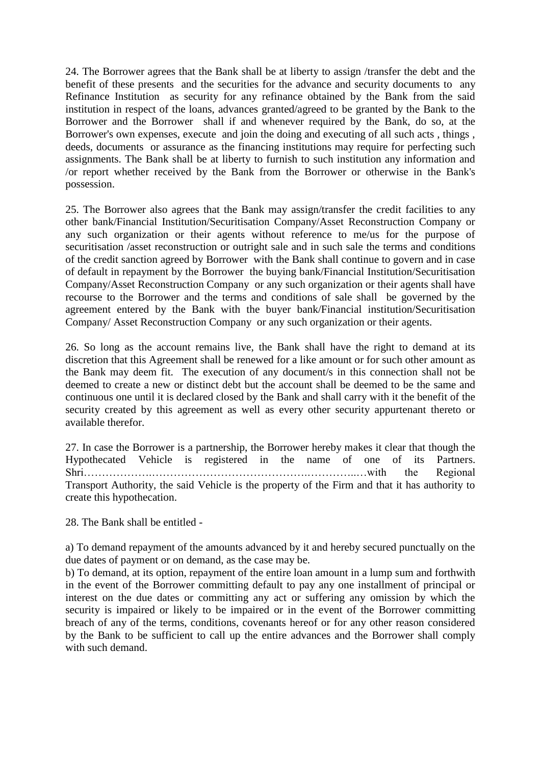24. The Borrower agrees that the Bank shall be at liberty to assign /transfer the debt and the benefit of these presents and the securities for the advance and security documents to any Refinance Institution as security for any refinance obtained by the Bank from the said institution in respect of the loans, advances granted/agreed to be granted by the Bank to the Borrower and the Borrower shall if and whenever required by the Bank, do so, at the Borrower's own expenses, execute and join the doing and executing of all such acts , things , deeds, documents or assurance as the financing institutions may require for perfecting such assignments. The Bank shall be at liberty to furnish to such institution any information and /or report whether received by the Bank from the Borrower or otherwise in the Bank's possession.

25. The Borrower also agrees that the Bank may assign/transfer the credit facilities to any other bank/Financial Institution/Securitisation Company/Asset Reconstruction Company or any such organization or their agents without reference to me/us for the purpose of securitisation /asset reconstruction or outright sale and in such sale the terms and conditions of the credit sanction agreed by Borrower with the Bank shall continue to govern and in case of default in repayment by the Borrower the buying bank/Financial Institution/Securitisation Company/Asset Reconstruction Company or any such organization or their agents shall have recourse to the Borrower and the terms and conditions of sale shall be governed by the agreement entered by the Bank with the buyer bank/Financial institution/Securitisation Company/ Asset Reconstruction Company or any such organization or their agents.

26. So long as the account remains live, the Bank shall have the right to demand at its discretion that this Agreement shall be renewed for a like amount or for such other amount as the Bank may deem fit. The execution of any document/s in this connection shall not be deemed to create a new or distinct debt but the account shall be deemed to be the same and continuous one until it is declared closed by the Bank and shall carry with it the benefit of the security created by this agreement as well as every other security appurtenant thereto or available therefor.

27. In case the Borrower is a partnership, the Borrower hereby makes it clear that though the Hypothecated Vehicle is registered in the name of one of its Partners. Shri……………….…………………………………….…………..…with the Regional Transport Authority, the said Vehicle is the property of the Firm and that it has authority to create this hypothecation.

28. The Bank shall be entitled -

a) To demand repayment of the amounts advanced by it and hereby secured punctually on the due dates of payment or on demand, as the case may be.

b) To demand, at its option, repayment of the entire loan amount in a lump sum and forthwith in the event of the Borrower committing default to pay any one installment of principal or interest on the due dates or committing any act or suffering any omission by which the security is impaired or likely to be impaired or in the event of the Borrower committing breach of any of the terms, conditions, covenants hereof or for any other reason considered by the Bank to be sufficient to call up the entire advances and the Borrower shall comply with such demand.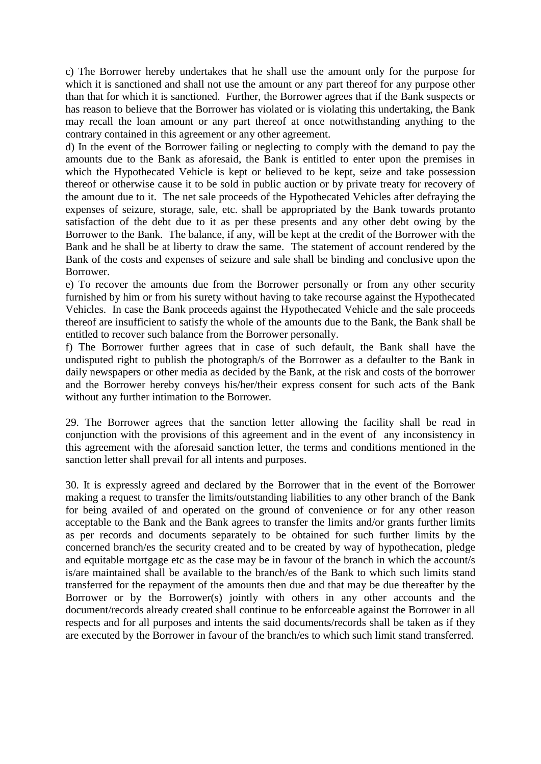c) The Borrower hereby undertakes that he shall use the amount only for the purpose for which it is sanctioned and shall not use the amount or any part thereof for any purpose other than that for which it is sanctioned. Further, the Borrower agrees that if the Bank suspects or has reason to believe that the Borrower has violated or is violating this undertaking, the Bank may recall the loan amount or any part thereof at once notwithstanding anything to the contrary contained in this agreement or any other agreement.

d) In the event of the Borrower failing or neglecting to comply with the demand to pay the amounts due to the Bank as aforesaid, the Bank is entitled to enter upon the premises in which the Hypothecated Vehicle is kept or believed to be kept, seize and take possession thereof or otherwise cause it to be sold in public auction or by private treaty for recovery of the amount due to it. The net sale proceeds of the Hypothecated Vehicles after defraying the expenses of seizure, storage, sale, etc. shall be appropriated by the Bank towards protanto satisfaction of the debt due to it as per these presents and any other debt owing by the Borrower to the Bank. The balance, if any, will be kept at the credit of the Borrower with the Bank and he shall be at liberty to draw the same. The statement of account rendered by the Bank of the costs and expenses of seizure and sale shall be binding and conclusive upon the Borrower.

e) To recover the amounts due from the Borrower personally or from any other security furnished by him or from his surety without having to take recourse against the Hypothecated Vehicles. In case the Bank proceeds against the Hypothecated Vehicle and the sale proceeds thereof are insufficient to satisfy the whole of the amounts due to the Bank, the Bank shall be entitled to recover such balance from the Borrower personally.

f) The Borrower further agrees that in case of such default, the Bank shall have the undisputed right to publish the photograph/s of the Borrower as a defaulter to the Bank in daily newspapers or other media as decided by the Bank, at the risk and costs of the borrower and the Borrower hereby conveys his/her/their express consent for such acts of the Bank without any further intimation to the Borrower.

29. The Borrower agrees that the sanction letter allowing the facility shall be read in conjunction with the provisions of this agreement and in the event of any inconsistency in this agreement with the aforesaid sanction letter, the terms and conditions mentioned in the sanction letter shall prevail for all intents and purposes.

30. It is expressly agreed and declared by the Borrower that in the event of the Borrower making a request to transfer the limits/outstanding liabilities to any other branch of the Bank for being availed of and operated on the ground of convenience or for any other reason acceptable to the Bank and the Bank agrees to transfer the limits and/or grants further limits as per records and documents separately to be obtained for such further limits by the concerned branch/es the security created and to be created by way of hypothecation, pledge and equitable mortgage etc as the case may be in favour of the branch in which the account/s is/are maintained shall be available to the branch/es of the Bank to which such limits stand transferred for the repayment of the amounts then due and that may be due thereafter by the Borrower or by the Borrower(s) jointly with others in any other accounts and the document/records already created shall continue to be enforceable against the Borrower in all respects and for all purposes and intents the said documents/records shall be taken as if they are executed by the Borrower in favour of the branch/es to which such limit stand transferred.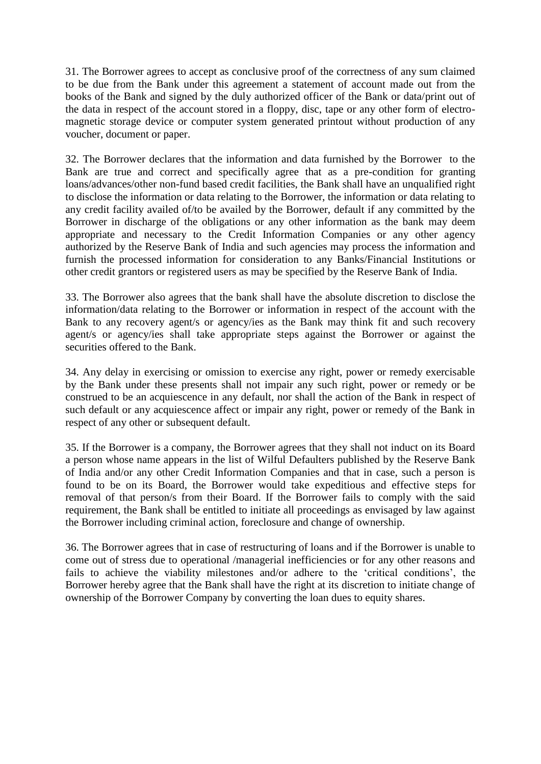31. The Borrower agrees to accept as conclusive proof of the correctness of any sum claimed to be due from the Bank under this agreement a statement of account made out from the books of the Bank and signed by the duly authorized officer of the Bank or data/print out of the data in respect of the account stored in a floppy, disc, tape or any other form of electromagnetic storage device or computer system generated printout without production of any voucher, document or paper.

32. The Borrower declares that the information and data furnished by the Borrower to the Bank are true and correct and specifically agree that as a pre-condition for granting loans/advances/other non-fund based credit facilities, the Bank shall have an unqualified right to disclose the information or data relating to the Borrower, the information or data relating to any credit facility availed of/to be availed by the Borrower, default if any committed by the Borrower in discharge of the obligations or any other information as the bank may deem appropriate and necessary to the Credit Information Companies or any other agency authorized by the Reserve Bank of India and such agencies may process the information and furnish the processed information for consideration to any Banks/Financial Institutions or other credit grantors or registered users as may be specified by the Reserve Bank of India.

33. The Borrower also agrees that the bank shall have the absolute discretion to disclose the information/data relating to the Borrower or information in respect of the account with the Bank to any recovery agent/s or agency/ies as the Bank may think fit and such recovery agent/s or agency/ies shall take appropriate steps against the Borrower or against the securities offered to the Bank.

34. Any delay in exercising or omission to exercise any right, power or remedy exercisable by the Bank under these presents shall not impair any such right, power or remedy or be construed to be an acquiescence in any default, nor shall the action of the Bank in respect of such default or any acquiescence affect or impair any right, power or remedy of the Bank in respect of any other or subsequent default.

35. If the Borrower is a company, the Borrower agrees that they shall not induct on its Board a person whose name appears in the list of Wilful Defaulters published by the Reserve Bank of India and/or any other Credit Information Companies and that in case, such a person is found to be on its Board, the Borrower would take expeditious and effective steps for removal of that person/s from their Board. If the Borrower fails to comply with the said requirement, the Bank shall be entitled to initiate all proceedings as envisaged by law against the Borrower including criminal action, foreclosure and change of ownership.

36. The Borrower agrees that in case of restructuring of loans and if the Borrower is unable to come out of stress due to operational /managerial inefficiencies or for any other reasons and fails to achieve the viability milestones and/or adhere to the 'critical conditions', the Borrower hereby agree that the Bank shall have the right at its discretion to initiate change of ownership of the Borrower Company by converting the loan dues to equity shares.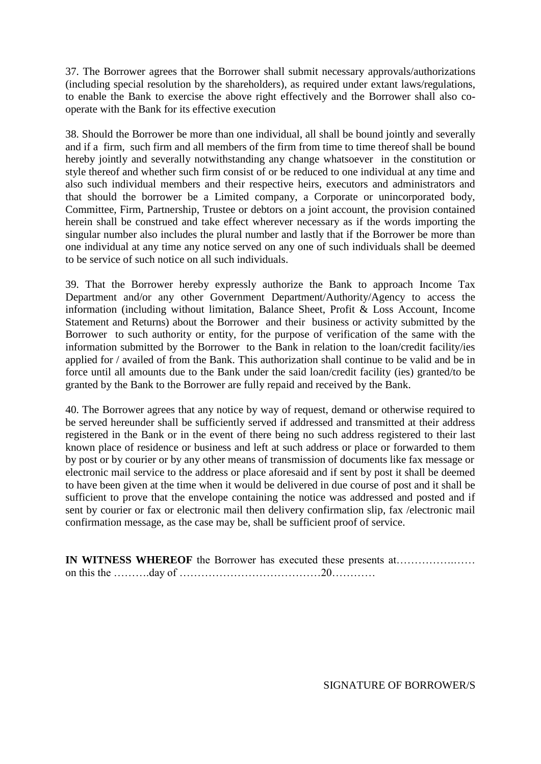37. The Borrower agrees that the Borrower shall submit necessary approvals/authorizations (including special resolution by the shareholders), as required under extant laws/regulations, to enable the Bank to exercise the above right effectively and the Borrower shall also cooperate with the Bank for its effective execution

38. Should the Borrower be more than one individual, all shall be bound jointly and severally and if a firm, such firm and all members of the firm from time to time thereof shall be bound hereby jointly and severally notwithstanding any change whatsoever in the constitution or style thereof and whether such firm consist of or be reduced to one individual at any time and also such individual members and their respective heirs, executors and administrators and that should the borrower be a Limited company, a Corporate or unincorporated body, Committee, Firm, Partnership, Trustee or debtors on a joint account, the provision contained herein shall be construed and take effect wherever necessary as if the words importing the singular number also includes the plural number and lastly that if the Borrower be more than one individual at any time any notice served on any one of such individuals shall be deemed to be service of such notice on all such individuals.

39. That the Borrower hereby expressly authorize the Bank to approach Income Tax Department and/or any other Government Department/Authority/Agency to access the information (including without limitation, Balance Sheet, Profit & Loss Account, Income Statement and Returns) about the Borrower and their business or activity submitted by the Borrower to such authority or entity, for the purpose of verification of the same with the information submitted by the Borrower to the Bank in relation to the loan/credit facility/ies applied for / availed of from the Bank. This authorization shall continue to be valid and be in force until all amounts due to the Bank under the said loan/credit facility (ies) granted/to be granted by the Bank to the Borrower are fully repaid and received by the Bank.

40. The Borrower agrees that any notice by way of request, demand or otherwise required to be served hereunder shall be sufficiently served if addressed and transmitted at their address registered in the Bank or in the event of there being no such address registered to their last known place of residence or business and left at such address or place or forwarded to them by post or by courier or by any other means of transmission of documents like fax message or electronic mail service to the address or place aforesaid and if sent by post it shall be deemed to have been given at the time when it would be delivered in due course of post and it shall be sufficient to prove that the envelope containing the notice was addressed and posted and if sent by courier or fax or electronic mail then delivery confirmation slip, fax /electronic mail confirmation message, as the case may be, shall be sufficient proof of service.

**IN WITNESS WHEREOF** the Borrower has executed these presents at…………….…… on this the ……….day of …………………………………20…………

SIGNATURE OF BORROWER/S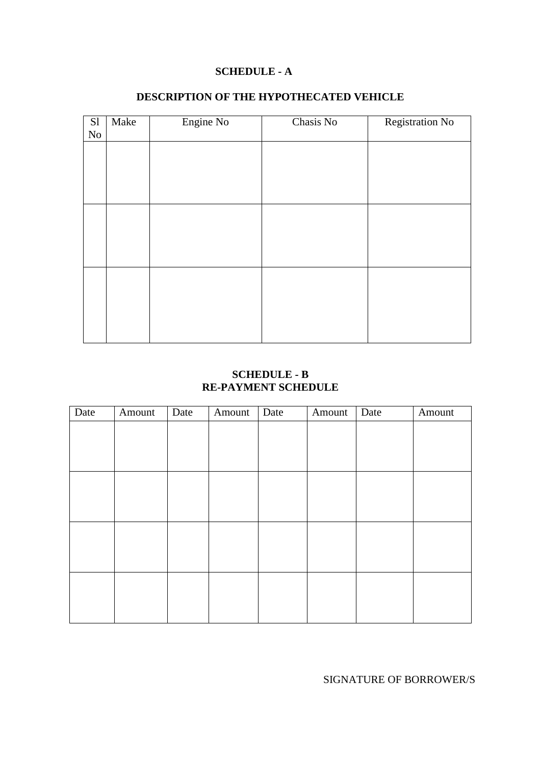#### **SCHEDULE - A**

| S1       | Make | Engine No | Chasis No | Registration No |
|----------|------|-----------|-----------|-----------------|
| $\rm No$ |      |           |           |                 |
|          |      |           |           |                 |
|          |      |           |           |                 |
|          |      |           |           |                 |
|          |      |           |           |                 |
|          |      |           |           |                 |
|          |      |           |           |                 |
|          |      |           |           |                 |
|          |      |           |           |                 |
|          |      |           |           |                 |
|          |      |           |           |                 |
|          |      |           |           |                 |
|          |      |           |           |                 |
|          |      |           |           |                 |
|          |      |           |           |                 |
|          |      |           |           |                 |
|          |      |           |           |                 |

## **DESCRIPTION OF THE HYPOTHECATED VEHICLE**

## **SCHEDULE - B RE-PAYMENT SCHEDULE**

| Date | Amount | Date | Amount | Date | Amount | Date | Amount |
|------|--------|------|--------|------|--------|------|--------|
|      |        |      |        |      |        |      |        |
|      |        |      |        |      |        |      |        |
|      |        |      |        |      |        |      |        |
|      |        |      |        |      |        |      |        |
|      |        |      |        |      |        |      |        |
|      |        |      |        |      |        |      |        |
|      |        |      |        |      |        |      |        |
|      |        |      |        |      |        |      |        |
|      |        |      |        |      |        |      |        |
|      |        |      |        |      |        |      |        |
|      |        |      |        |      |        |      |        |
|      |        |      |        |      |        |      |        |

SIGNATURE OF BORROWER/S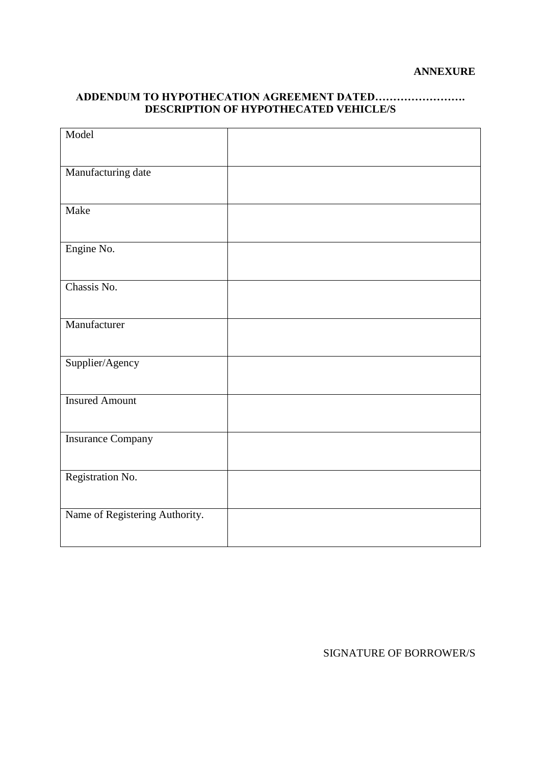## **ADDENDUM TO HYPOTHECATION AGREEMENT DATED……………………. DESCRIPTION OF HYPOTHECATED VEHICLE/S**

| Model                          |  |
|--------------------------------|--|
|                                |  |
| Manufacturing date             |  |
|                                |  |
| Make                           |  |
|                                |  |
| Engine No.                     |  |
|                                |  |
| Chassis No.                    |  |
|                                |  |
| Manufacturer                   |  |
|                                |  |
| Supplier/Agency                |  |
|                                |  |
| <b>Insured Amount</b>          |  |
|                                |  |
| <b>Insurance Company</b>       |  |
|                                |  |
| Registration No.               |  |
|                                |  |
| Name of Registering Authority. |  |
|                                |  |

SIGNATURE OF BORROWER/S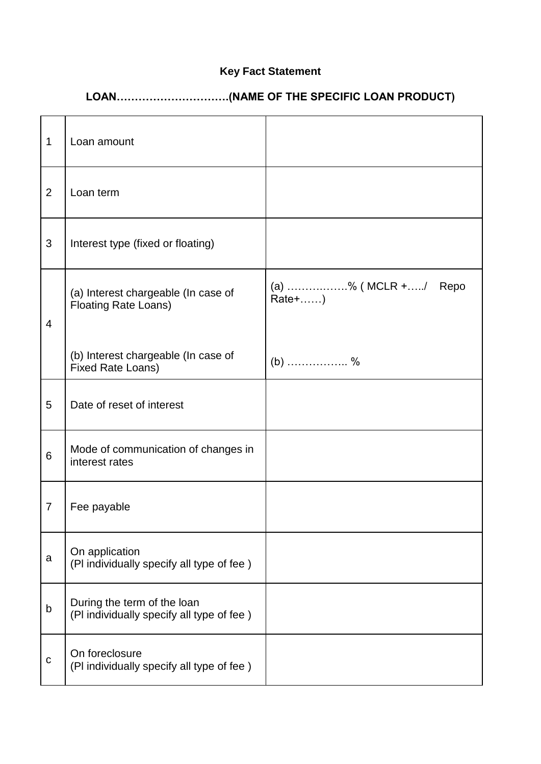# **Key Fact Statement**

# **LOAN………………………….(NAME OF THE SPECIFIC LOAN PRODUCT)**

| $\mathbf{1}$   | Loan amount                                                              |                               |
|----------------|--------------------------------------------------------------------------|-------------------------------|
| $\overline{2}$ | Loan term                                                                |                               |
| $\mathfrak{S}$ | Interest type (fixed or floating)                                        |                               |
| $\overline{4}$ | (a) Interest chargeable (In case of<br><b>Floating Rate Loans)</b>       | (a) % (MCLR +/ Repo<br>Rate+) |
|                | (b) Interest chargeable (In case of<br><b>Fixed Rate Loans)</b>          | $(b)$ %                       |
| 5              | Date of reset of interest                                                |                               |
| 6              | Mode of communication of changes in<br>interest rates                    |                               |
| $\overline{7}$ | Fee payable                                                              |                               |
| a              | On application<br>(PI individually specify all type of fee)              |                               |
| b              | During the term of the loan<br>(PI individually specify all type of fee) |                               |
| $\mathbf C$    | On foreclosure<br>(PI individually specify all type of fee)              |                               |